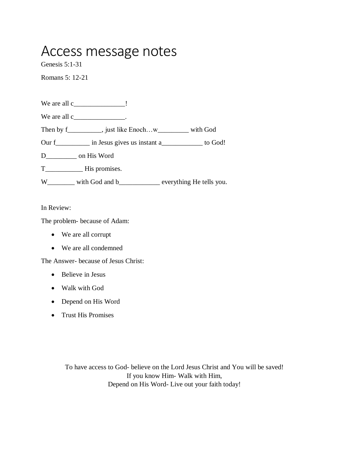## Access message notes

Genesis 5:1-31

Romans 5: 12-21

| We are all c________________.                                       |  |
|---------------------------------------------------------------------|--|
| Then by f____________, just like Enochw_____________ with God       |  |
| Our f in Jesus gives us instant a to God!                           |  |
| D on His Word                                                       |  |
| T <b>I</b> His promises.                                            |  |
| W___________ with God and b_______________ everything He tells you. |  |

In Review:

The problem- because of Adam:

- We are all corrupt
- We are all condemned

The Answer- because of Jesus Christ:

- Believe in Jesus
- Walk with God
- Depend on His Word
- Trust His Promises

To have access to God- believe on the Lord Jesus Christ and You will be saved! If you know Him- Walk with Him, Depend on His Word- Live out your faith today!